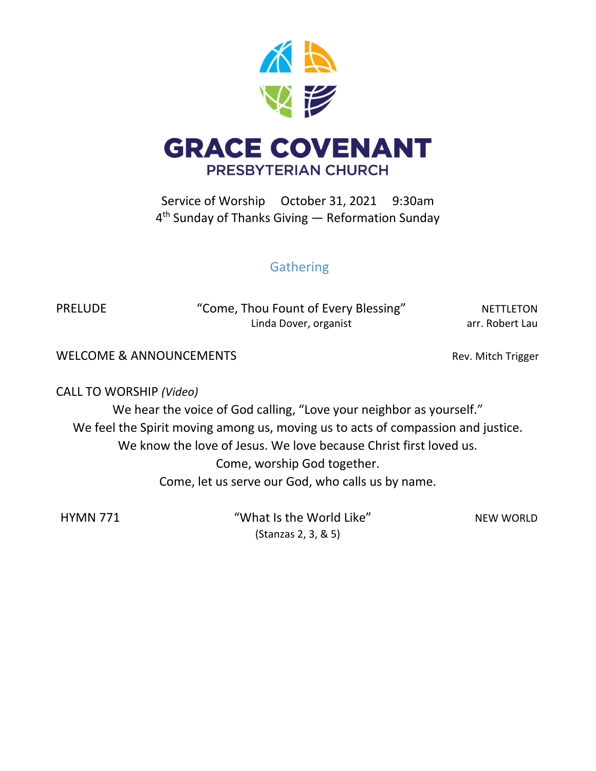

Service of Worship October 31, 2021 9:30am 4 th Sunday of Thanks Giving — Reformation Sunday

# **Gathering**

PRELUDE "Come, Thou Fount of Every Blessing" NETTLETON Linda Dover, organist arr. Robert Lau

WELCOME & ANNOUNCEMENTS WELCOME & ANNOUNCEMENTS

CALL TO WORSHIP *(Video)*

We hear the voice of God calling, "Love your neighbor as yourself." We feel the Spirit moving among us, moving us to acts of compassion and justice. We know the love of Jesus. We love because Christ first loved us. Come, worship God together. Come, let us serve our God, who calls us by name.

HYMN 771 "What Is the World Like" NEW WORLD (Stanzas 2, 3, & 5)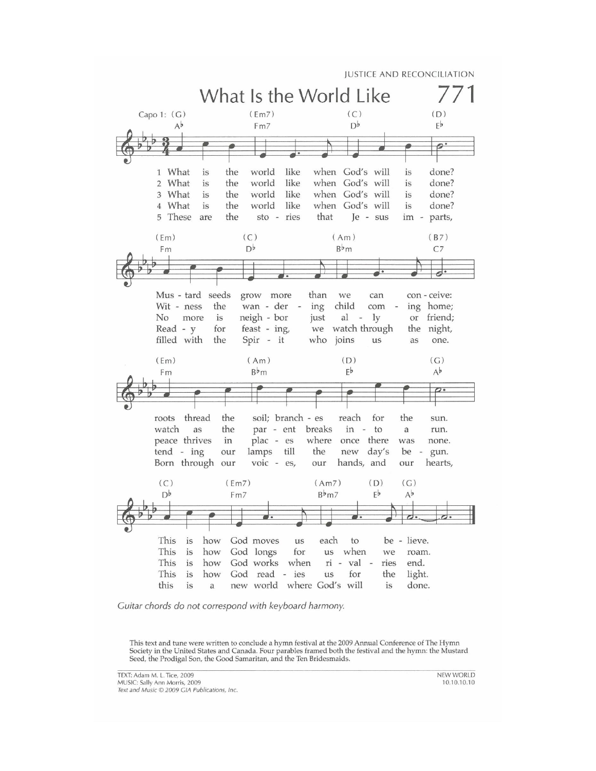

Guitar chords do not correspond with keyboard harmony.

This text and tune were written to conclude a hymn festival at the 2009 Annual Conference of The Hymn Society in the United States and Canada. Four parables framed both the festival and the hymn: the Mustard Seed, the Prodigal Son, the Good Samaritan, and the Ten Bridesmaids.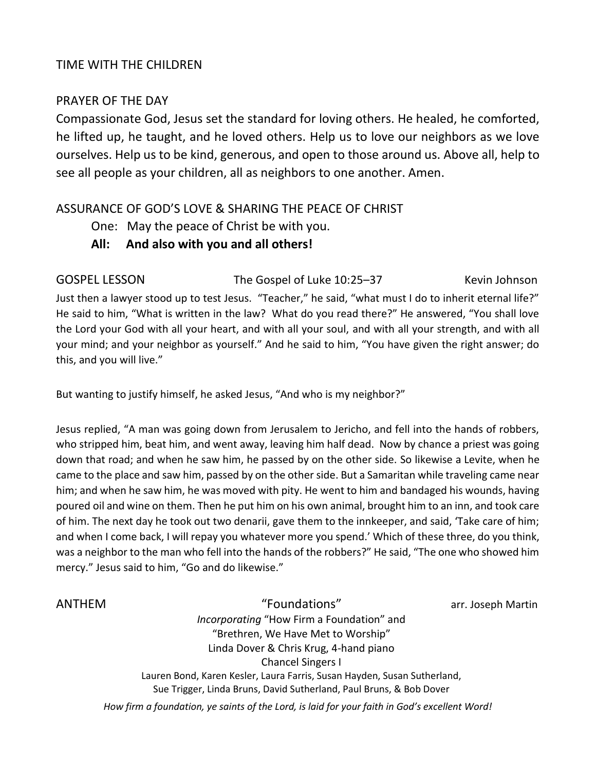## TIME WITH THE CHILDREN

#### PRAYER OF THE DAY

Compassionate God, Jesus set the standard for loving others. He healed, he comforted, he lifted up, he taught, and he loved others. Help us to love our neighbors as we love ourselves. Help us to be kind, generous, and open to those around us. Above all, help to see all people as your children, all as neighbors to one another. Amen.

## ASSURANCE OF GOD'S LOVE & SHARING THE PEACE OF CHRIST

One: May the peace of Christ be with you.

## **All: And also with you and all others!**

GOSPEL LESSON The Gospel of Luke 10:25–37Kevin Johnson

Just then a lawyer stood up to test Jesus. "Teacher," he said, "what must I do to inherit eternal life?" He said to him, "What is written in the law? What do you read there?" He answered, "You shall love the Lord your God with all your heart, and with all your soul, and with all your strength, and with all your mind; and your neighbor as yourself." And he said to him, "You have given the right answer; do this, and you will live."

But wanting to justify himself, he asked Jesus, "And who is my neighbor?"

Jesus replied, "A man was going down from Jerusalem to Jericho, and fell into the hands of robbers, who stripped him, beat him, and went away, leaving him half dead. Now by chance a priest was going down that road; and when he saw him, he passed by on the other side. So likewise a Levite, when he came to the place and saw him, passed by on the other side. But a Samaritan while traveling came near him; and when he saw him, he was moved with pity. He went to him and bandaged his wounds, having poured oil and wine on them. Then he put him on his own animal, brought him to an inn, and took care of him. The next day he took out two denarii, gave them to the innkeeper, and said, 'Take care of him; and when I come back, I will repay you whatever more you spend.' Which of these three, do you think, was a neighbor to the man who fell into the hands of the robbers?" He said, "The one who showed him mercy." Jesus said to him, "Go and do likewise."

ANTHEM "Foundations" arr. Joseph Martin *Incorporating* "How Firm a Foundation" and "Brethren, We Have Met to Worship" Linda Dover & Chris Krug, 4-hand piano Chancel Singers I Lauren Bond, Karen Kesler, Laura Farris, Susan Hayden, Susan Sutherland, Sue Trigger, Linda Bruns, David Sutherland, Paul Bruns, & Bob Dover

*How firm a foundation, ye saints of the Lord, is laid for your faith in God's excellent Word!*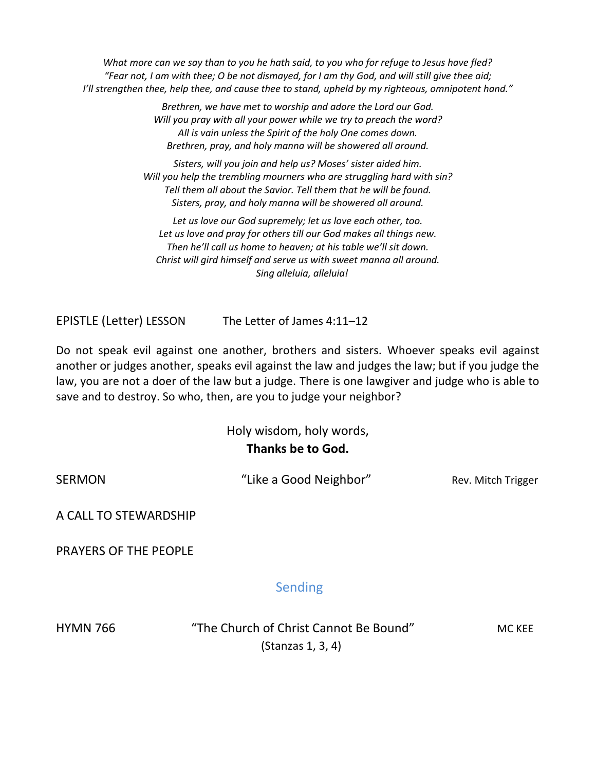*What more can we say than to you he hath said, to you who for refuge to Jesus have fled? "Fear not, I am with thee; O be not dismayed, for I am thy God, and will still give thee aid; I'll strengthen thee, help thee, and cause thee to stand, upheld by my righteous, omnipotent hand."*

> *Brethren, we have met to worship and adore the Lord our God. Will you pray with all your power while we try to preach the word? All is vain unless the Spirit of the holy One comes down. Brethren, pray, and holy manna will be showered all around.*

*Sisters, will you join and help us? Moses' sister aided him. Will you help the trembling mourners who are struggling hard with sin? Tell them all about the Savior. Tell them that he will be found. Sisters, pray, and holy manna will be showered all around.*

*Let us love our God supremely; let us love each other, too. Let us love and pray for others till our God makes all things new. Then he'll call us home to heaven; at his table we'll sit down. Christ will gird himself and serve us with sweet manna all around. Sing alleluia, alleluia!*

EPISTLE (Letter) LESSON The Letter of James 4:11–12

Do not speak evil against one another, brothers and sisters. Whoever speaks evil against another or judges another, speaks evil against the law and judges the law; but if you judge the law, you are not a doer of the law but a judge. There is one lawgiver and judge who is able to save and to destroy. So who, then, are you to judge your neighbor?

> Holy wisdom, holy words, **Thanks be to God.**

SERMON **EXAMON** "Like a Good Neighbor" Rev. Mitch Trigger

A CALL TO STEWARDSHIP

PRAYERS OF THE PEOPLE

Sending

HYMN 766 "The Church of Christ Cannot Be Bound"MC KEE (Stanzas 1, 3, 4)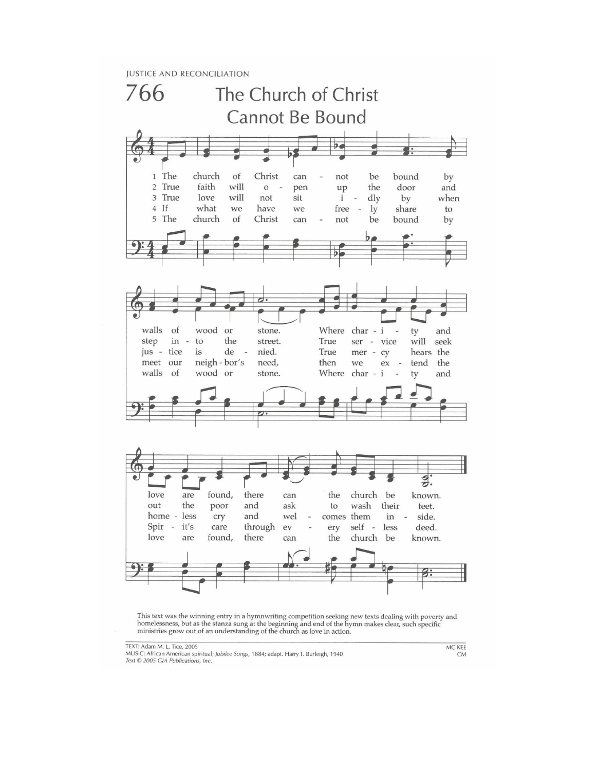**JUSTICE AND RECONCILIATION** 



This text was the winning entry in a hymnwriting competition seeking new texts dealing with poverty and homelessness, but as the stanza sung at the beginning and end of the hymn makes clear, such specific ministries grow o

MUSIC: African American spiritual; Jubilee Songs, 1884; adapt. Harry T. Burleigh, 1940 Text © 2005 GIA Publications, Inc.

MC KEE **CM**